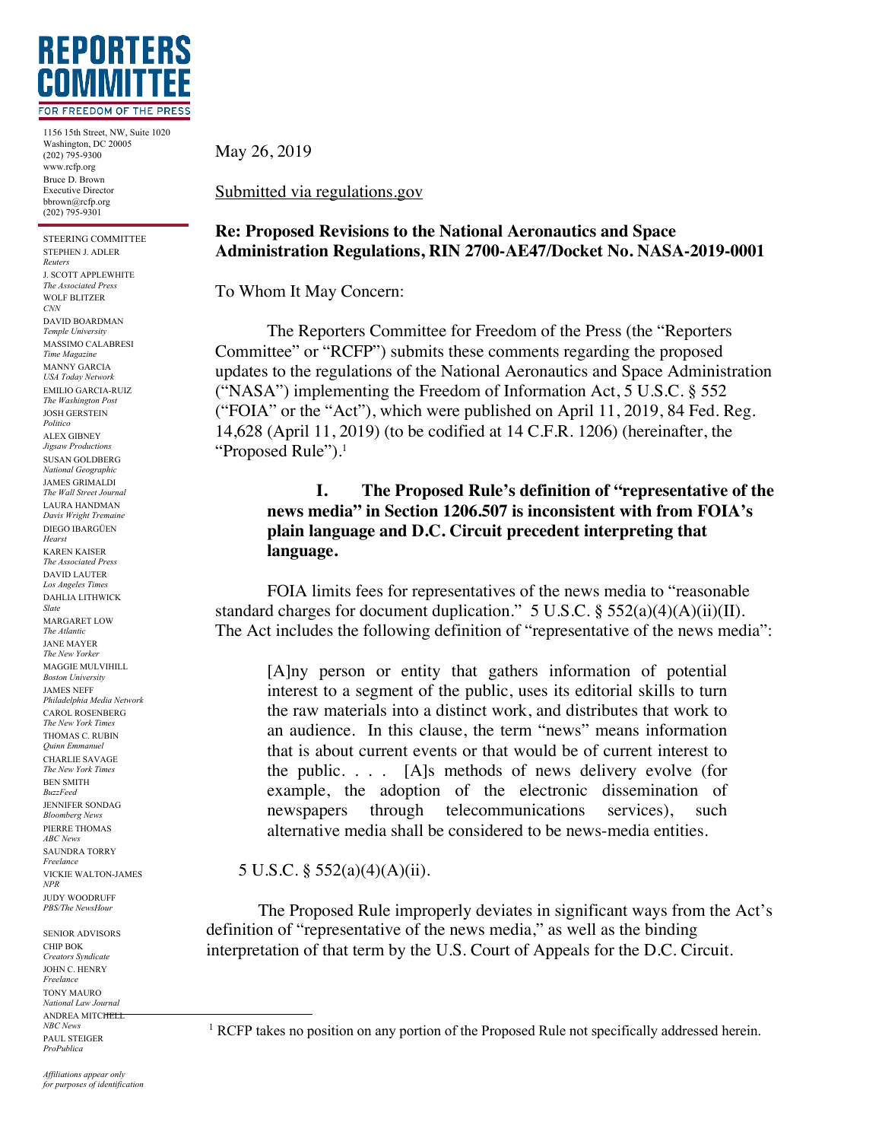

1156 15th Street, NW, Suite 1020 Washington, DC 20005 (202) 795-9300 www.rcfp.org Bruce D. Brown Executive Director bbrown@rcfp.org (202) 795-9301

STEERING COMMITTEE STEPHEN J. ADLER *Reuters* J. SCOTT APPLEWHITE *The Associated Press* WOLF BLITZER *CNN* DAVID BOARDMAN *Temple University* MASSIMO CALABRESI *Time Magazine* MANNY GARCIA *USA Today Network* EMILIO GARCIA-RUIZ *The Washington Post* JOSH GERSTEIN *Politico* ALEX GIBNEY *Jigsaw Productions* SUSAN GOLDBERG *National Geographic* JAMES GRIMALDI *The Wall Street Journal* LAURA HANDMAN *Davis Wright Tremaine* DIEGO IBARGÜEN *Hearst* KAREN KAISER *The Associated Press* DAVID LAUTER *Los Angeles Times* DAHLIA LITHWICK *Slate* MARGARET LOW *The Atlantic* JANE MAYER *The New Yorker* MAGGIE MULVIHILL *Boston University* JAMES NEFF *Philadelphia Media Network* CAROL ROSENBERG *The New York Times* THOMAS C. RUBIN *Quinn Emmanuel* CHARLIE SAVAGE *The New York Times* BEN SMITH *BuzzFeed* JENNIFER SONDAG *Bloomberg News* PIERRE THOMAS *ABC News* SAUNDRA TORRY *Freelance* VICKIE WALTON-JAMES *NPR* JUDY WOODRUFF *PBS/The NewsHour*

SENIOR ADVISORS CHIP BOK *Creators Syndicate* JOHN C. HENRY *Freelance* TONY MAURO *National Law Journal* ANDREA MITCHELL *NBC News* PAUL STEIGER *ProPublica*

May 26, 2019

Submitted via regulations.gov

## **Re: Proposed Revisions to the National Aeronautics and Space Administration Regulations, RIN 2700-AE47/Docket No. NASA-2019-0001**

To Whom It May Concern:

The Reporters Committee for Freedom of the Press (the "Reporters Committee" or "RCFP") submits these comments regarding the proposed updates to the regulations of the National Aeronautics and Space Administration ("NASA") implementing the Freedom of Information Act, 5 U.S.C. § 552 ("FOIA" or the "Act"), which were published on April 11, 2019, 84 Fed. Reg. 14,628 (April 11, 2019) (to be codified at 14 C.F.R. 1206) (hereinafter, the "Proposed Rule").1

## **I. The Proposed Rule's definition of "representative of the news media" in Section 1206.507 is inconsistent with from FOIA's plain language and D.C. Circuit precedent interpreting that language.**

FOIA limits fees for representatives of the news media to "reasonable standard charges for document duplication."  $5 \text{ U.S.C.}$  §  $552(a)(4)(A)(ii)(II)$ . The Act includes the following definition of "representative of the news media":

[A]ny person or entity that gathers information of potential interest to a segment of the public, uses its editorial skills to turn the raw materials into a distinct work, and distributes that work to an audience. In this clause, the term "news" means information that is about current events or that would be of current interest to the public. . . . [A]s methods of news delivery evolve (for example, the adoption of the electronic dissemination of newspapers through telecommunications services), such alternative media shall be considered to be news-media entities.

5 U.S.C. § 552(a)(4)(A)(ii).

The Proposed Rule improperly deviates in significant ways from the Act's definition of "representative of the news media," as well as the binding interpretation of that term by the U.S. Court of Appeals for the D.C. Circuit.

<sup>&</sup>lt;sup>1</sup> RCFP takes no position on any portion of the Proposed Rule not specifically addressed herein.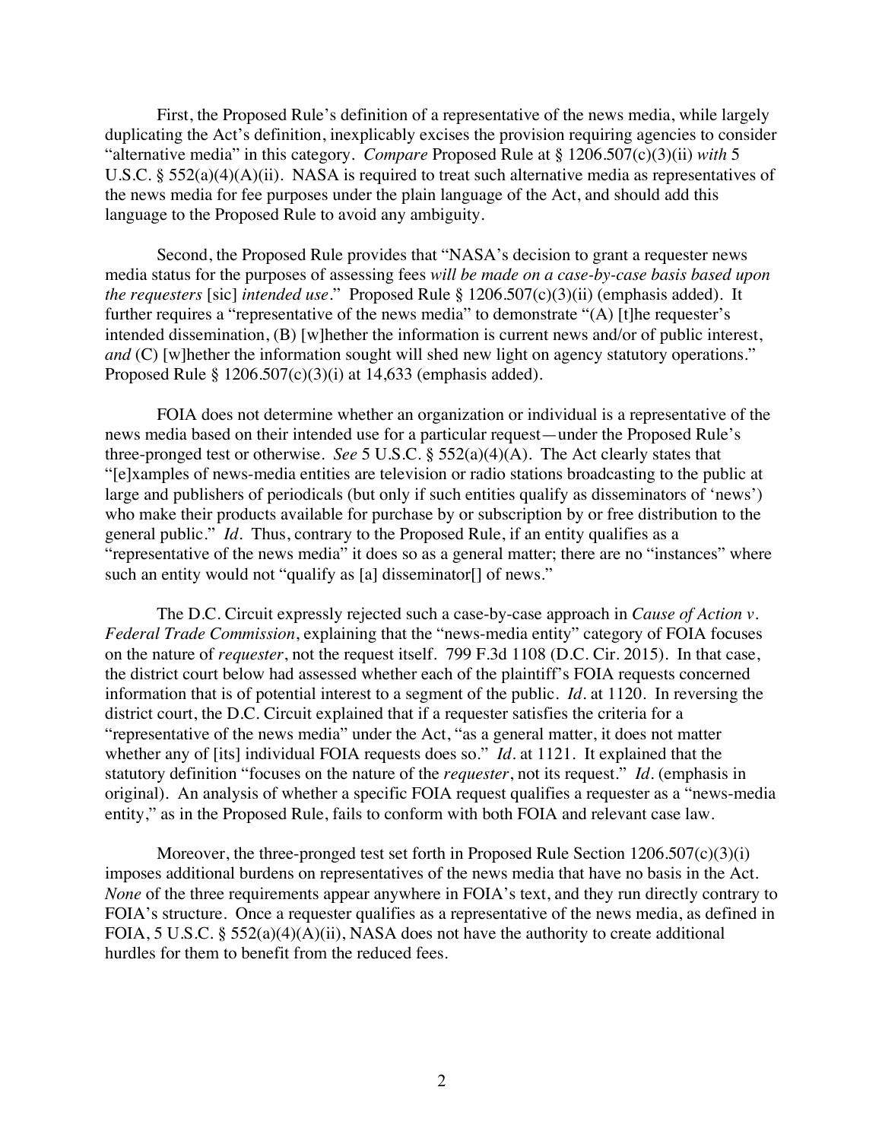First, the Proposed Rule's definition of a representative of the news media, while largely duplicating the Act's definition, inexplicably excises the provision requiring agencies to consider "alternative media" in this category. *Compare* Proposed Rule at § 1206.507(c)(3)(ii) *with* 5 U.S.C. § 552(a)(4)(A)(ii). NASA is required to treat such alternative media as representatives of the news media for fee purposes under the plain language of the Act, and should add this language to the Proposed Rule to avoid any ambiguity.

Second, the Proposed Rule provides that "NASA's decision to grant a requester news media status for the purposes of assessing fees *will be made on a case-by-case basis based upon the requesters* [sic] *intended use*." Proposed Rule § 1206.507(c)(3)(ii) (emphasis added). It further requires a "representative of the news media" to demonstrate "(A) [t]he requester's intended dissemination, (B) [w]hether the information is current news and/or of public interest, *and* (C) [w]hether the information sought will shed new light on agency statutory operations." Proposed Rule  $\S 1206.507(c)(3)(i)$  at 14,633 (emphasis added).

FOIA does not determine whether an organization or individual is a representative of the news media based on their intended use for a particular request—under the Proposed Rule's three-pronged test or otherwise. *See* 5 U.S.C. § 552(a)(4)(A). The Act clearly states that "[e]xamples of news-media entities are television or radio stations broadcasting to the public at large and publishers of periodicals (but only if such entities qualify as disseminators of 'news') who make their products available for purchase by or subscription by or free distribution to the general public." *Id.* Thus, contrary to the Proposed Rule, if an entity qualifies as a "representative of the news media" it does so as a general matter; there are no "instances" where such an entity would not "qualify as [a] disseminator<sup>[]</sup> of news."

The D.C. Circuit expressly rejected such a case-by-case approach in *Cause of Action v. Federal Trade Commission*, explaining that the "news-media entity" category of FOIA focuses on the nature of *requester*, not the request itself. 799 F.3d 1108 (D.C. Cir. 2015). In that case, the district court below had assessed whether each of the plaintiff's FOIA requests concerned information that is of potential interest to a segment of the public. *Id.* at 1120. In reversing the district court, the D.C. Circuit explained that if a requester satisfies the criteria for a "representative of the news media" under the Act, "as a general matter, it does not matter whether any of [its] individual FOIA requests does so." *Id.* at 1121. It explained that the statutory definition "focuses on the nature of the *requester*, not its request." *Id.* (emphasis in original). An analysis of whether a specific FOIA request qualifies a requester as a "news-media entity," as in the Proposed Rule, fails to conform with both FOIA and relevant case law.

Moreover, the three-pronged test set forth in Proposed Rule Section 1206.507(c)(3)(i) imposes additional burdens on representatives of the news media that have no basis in the Act. *None* of the three requirements appear anywhere in FOIA's text, and they run directly contrary to FOIA's structure. Once a requester qualifies as a representative of the news media, as defined in FOIA, 5 U.S.C. § 552(a)(4)(A)(ii), NASA does not have the authority to create additional hurdles for them to benefit from the reduced fees.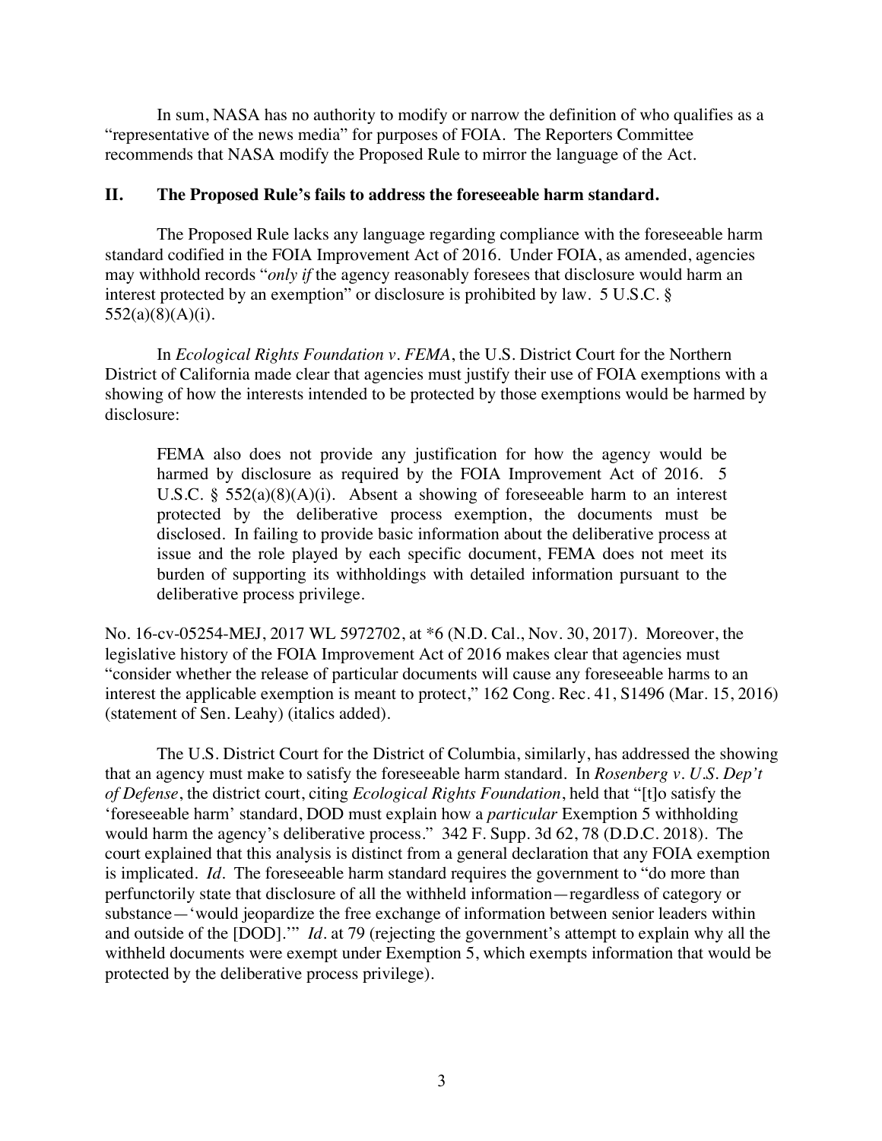In sum, NASA has no authority to modify or narrow the definition of who qualifies as a "representative of the news media" for purposes of FOIA. The Reporters Committee recommends that NASA modify the Proposed Rule to mirror the language of the Act.

## **II. The Proposed Rule's fails to address the foreseeable harm standard.**

The Proposed Rule lacks any language regarding compliance with the foreseeable harm standard codified in the FOIA Improvement Act of 2016. Under FOIA, as amended, agencies may withhold records "*only if* the agency reasonably foresees that disclosure would harm an interest protected by an exemption" or disclosure is prohibited by law. 5 U.S.C. §  $552(a)(8)(A)(i)$ .

In *Ecological Rights Foundation v. FEMA*, the U.S. District Court for the Northern District of California made clear that agencies must justify their use of FOIA exemptions with a showing of how the interests intended to be protected by those exemptions would be harmed by disclosure:

FEMA also does not provide any justification for how the agency would be harmed by disclosure as required by the FOIA Improvement Act of 2016. 5 U.S.C. §  $552(a)(8)(A)(i)$ . Absent a showing of foreseeable harm to an interest protected by the deliberative process exemption, the documents must be disclosed. In failing to provide basic information about the deliberative process at issue and the role played by each specific document, FEMA does not meet its burden of supporting its withholdings with detailed information pursuant to the deliberative process privilege.

No. 16-cv-05254-MEJ, 2017 WL 5972702, at \*6 (N.D. Cal., Nov. 30, 2017). Moreover, the legislative history of the FOIA Improvement Act of 2016 makes clear that agencies must "consider whether the release of particular documents will cause any foreseeable harms to an interest the applicable exemption is meant to protect," 162 Cong. Rec. 41, S1496 (Mar. 15, 2016) (statement of Sen. Leahy) (italics added).

The U.S. District Court for the District of Columbia, similarly, has addressed the showing that an agency must make to satisfy the foreseeable harm standard. In *Rosenberg v. U.S. Dep't of Defense*, the district court, citing *Ecological Rights Foundation*, held that "[t]o satisfy the 'foreseeable harm' standard, DOD must explain how a *particular* Exemption 5 withholding would harm the agency's deliberative process." 342 F. Supp. 3d 62, 78 (D.D.C. 2018). The court explained that this analysis is distinct from a general declaration that any FOIA exemption is implicated. *Id.* The foreseeable harm standard requires the government to "do more than perfunctorily state that disclosure of all the withheld information—regardless of category or substance—'would jeopardize the free exchange of information between senior leaders within and outside of the [DOD].'" *Id.* at 79 (rejecting the government's attempt to explain why all the withheld documents were exempt under Exemption 5, which exempts information that would be protected by the deliberative process privilege).